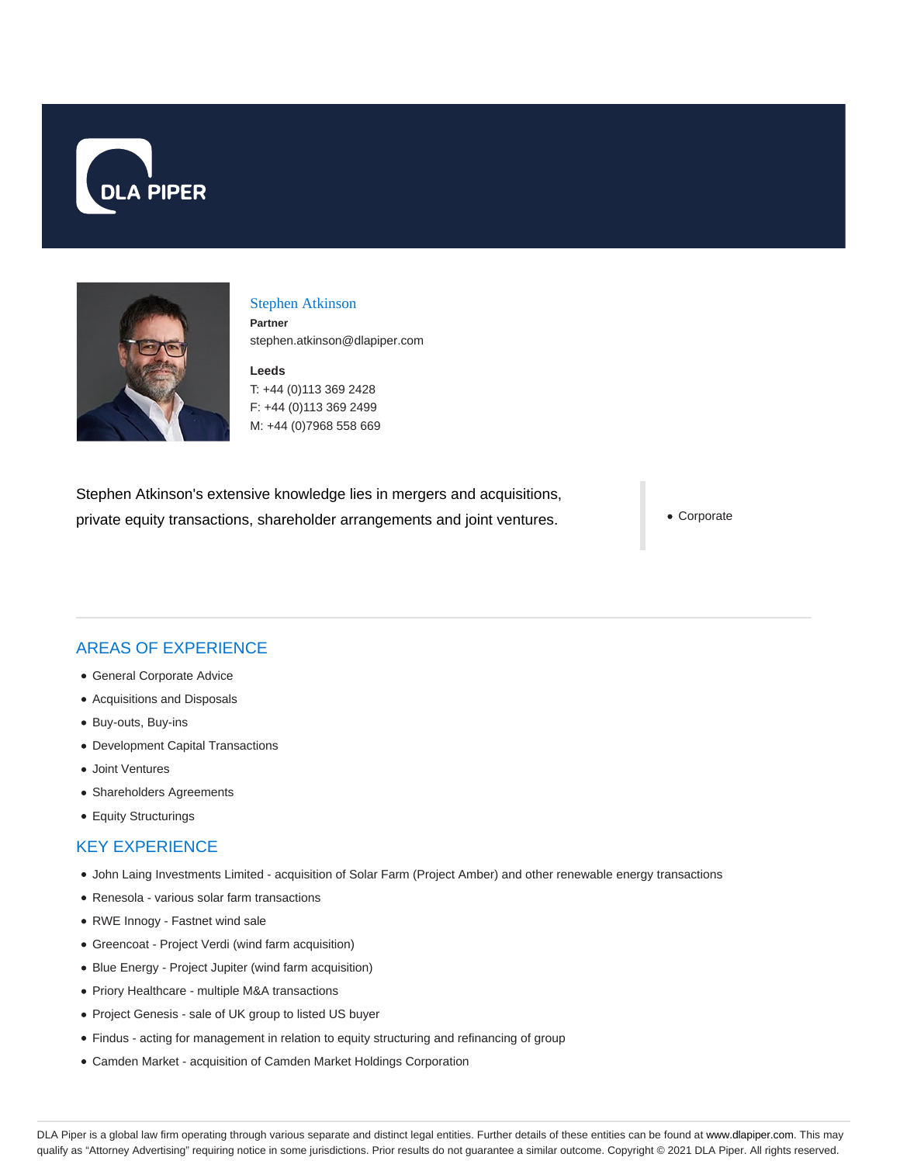



#### Stephen Atkinson

**Partner** stephen.atkinson@dlapiper.com

**Leeds** T: +44 (0)113 369 2428 F: +44 (0)113 369 2499 M: +44 (0)7968 558 669

Stephen Atkinson's extensive knowledge lies in mergers and acquisitions, private equity transactions, shareholder arrangements and joint ventures.

Corporate

# AREAS OF EXPERIENCE

- General Corporate Advice
- Acquisitions and Disposals
- Buy-outs, Buy-ins
- Development Capital Transactions
- Joint Ventures
- Shareholders Agreements
- Equity Structurings

#### KEY EXPERIENCE

- John Laing Investments Limited acquisition of Solar Farm (Project Amber) and other renewable energy transactions
- Renesola various solar farm transactions
- RWE Innogy Fastnet wind sale
- Greencoat Project Verdi (wind farm acquisition)
- Blue Energy Project Jupiter (wind farm acquisition)
- Priory Healthcare multiple M&A transactions
- Project Genesis sale of UK group to listed US buyer
- Findus acting for management in relation to equity structuring and refinancing of group
- Camden Market acquisition of Camden Market Holdings Corporation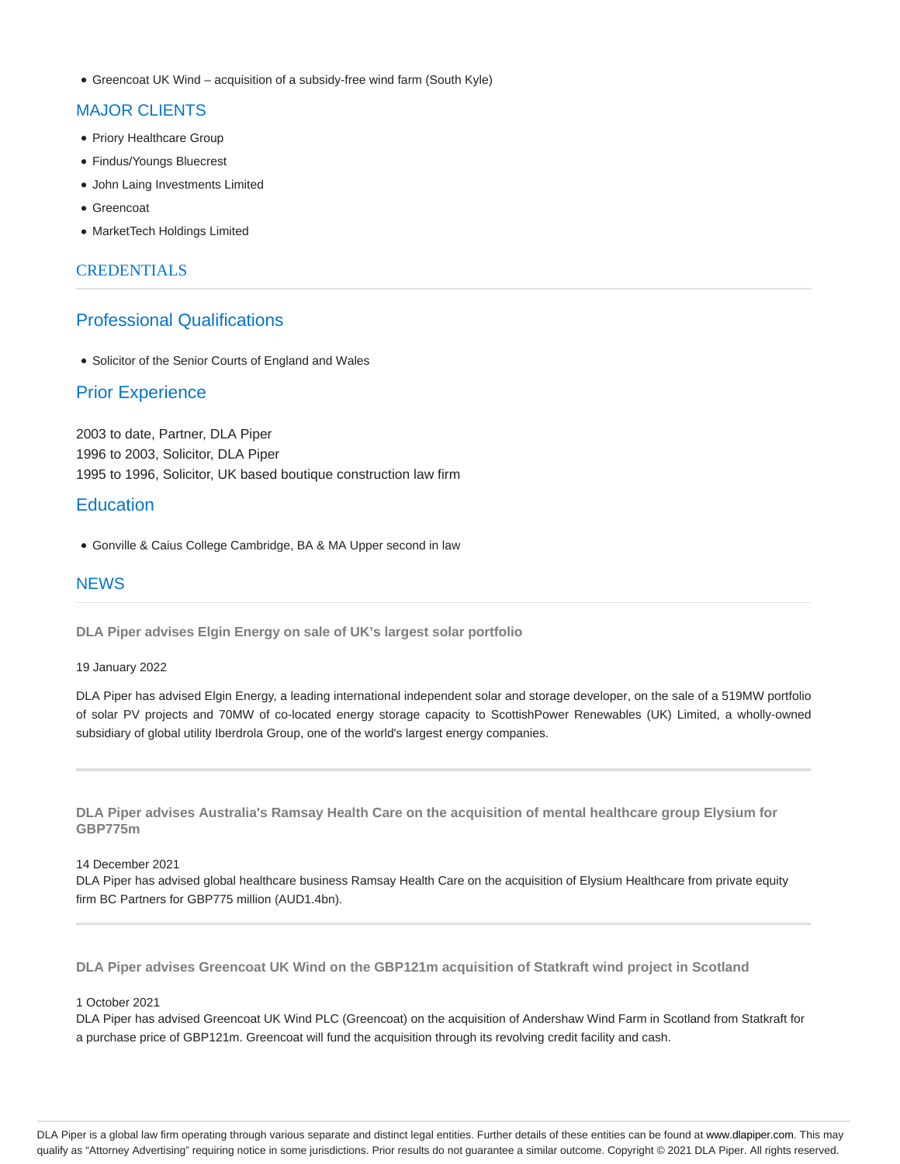Greencoat UK Wind – acquisition of a subsidy-free wind farm (South Kyle)

#### MAJOR CLIENTS

- Priory Healthcare Group
- Findus/Youngs Bluecrest
- John Laing Investments Limited
- Greencoat
- MarketTech Holdings Limited

### **CREDENTIALS**

# Professional Qualifications

• Solicitor of the Senior Courts of England and Wales

# Prior Experience

2003 to date, Partner, DLA Piper 1996 to 2003, Solicitor, DLA Piper 1995 to 1996, Solicitor, UK based boutique construction law firm

# **Education**

Gonville & Caius College Cambridge, BA & MA Upper second in law

### **NEWS**

**DLA Piper advises Elgin Energy on sale of UK's largest solar portfolio**

#### 19 January 2022

DLA Piper has advised Elgin Energy, a leading international independent solar and storage developer, on the sale of a 519MW portfolio of solar PV projects and 70MW of co-located energy storage capacity to ScottishPower Renewables (UK) Limited, a wholly-owned subsidiary of global utility Iberdrola Group, one of the world's largest energy companies.

**DLA Piper advises Australia's Ramsay Health Care on the acquisition of mental healthcare group Elysium for GBP775m**

#### 14 December 2021

DLA Piper has advised global healthcare business Ramsay Health Care on the acquisition of Elysium Healthcare from private equity firm BC Partners for GBP775 million (AUD1.4bn).

**DLA Piper advises Greencoat UK Wind on the GBP121m acquisition of Statkraft wind project in Scotland**

#### 1 October 2021

DLA Piper has advised Greencoat UK Wind PLC (Greencoat) on the acquisition of Andershaw Wind Farm in Scotland from Statkraft for a purchase price of GBP121m. Greencoat will fund the acquisition through its revolving credit facility and cash.

DLA Piper is a global law firm operating through various separate and distinct legal entities. Further details of these entities can be found at www.dlapiper.com. This may qualify as "Attorney Advertising" requiring notice in some jurisdictions. Prior results do not guarantee a similar outcome. Copyright @ 2021 DLA Piper. All rights reserved.